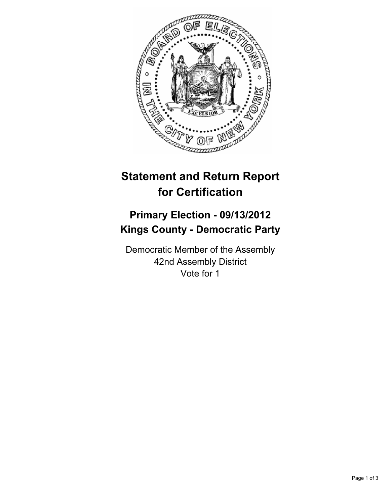

## **Statement and Return Report for Certification**

## **Primary Election - 09/13/2012 Kings County - Democratic Party**

Democratic Member of the Assembly 42nd Assembly District Vote for 1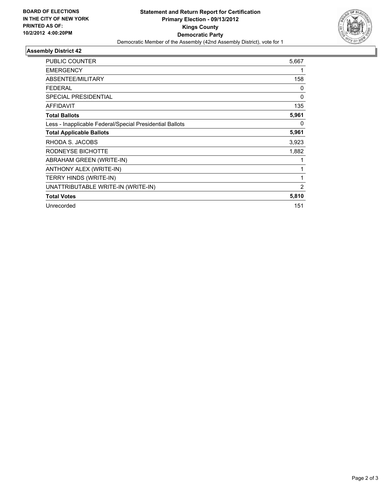

## **Assembly District 42**

| PUBLIC COUNTER                                           | 5,667          |
|----------------------------------------------------------|----------------|
| <b>EMERGENCY</b>                                         | 1              |
| ABSENTEE/MILITARY                                        | 158            |
| <b>FEDERAL</b>                                           | 0              |
| <b>SPECIAL PRESIDENTIAL</b>                              | $\mathbf{0}$   |
| <b>AFFIDAVIT</b>                                         | 135            |
| <b>Total Ballots</b>                                     | 5,961          |
| Less - Inapplicable Federal/Special Presidential Ballots | 0              |
| <b>Total Applicable Ballots</b>                          | 5,961          |
| RHODA S. JACOBS                                          | 3,923          |
| RODNEYSE BICHOTTE                                        | 1,882          |
| ABRAHAM GREEN (WRITE-IN)                                 | 1              |
| ANTHONY ALEX (WRITE-IN)                                  | 1              |
| TERRY HINDS (WRITE-IN)                                   | 1              |
| UNATTRIBUTABLE WRITE-IN (WRITE-IN)                       | $\overline{2}$ |
| <b>Total Votes</b>                                       | 5,810          |
| Unrecorded                                               | 151            |